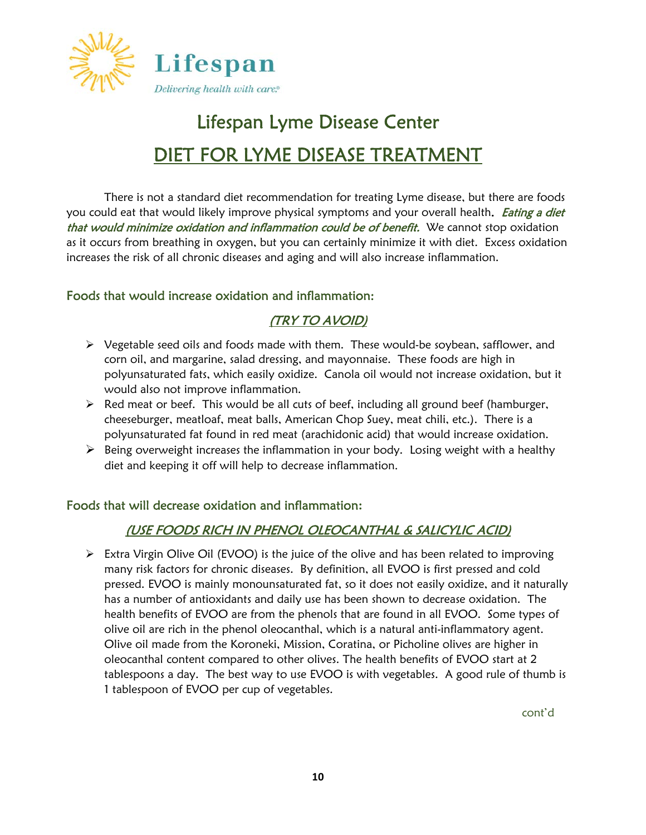

# Lifespan Lyme Disease Center DIET FOR LYME DISEASE TREATMENT

There is not a standard diet recommendation for treating Lyme disease, but there are foods you could eat that would likely improve physical symptoms and your overall health. *Eating a diet* that would minimize oxidation and inflammation could be of benefit. We cannot stop oxidation as it occurs from breathing in oxygen, but you can certainly minimize it with diet. Excess oxidation increases the risk of all chronic diseases and aging and will also increase inflammation.

#### Foods that would increase oxidation and inflammation:

## (TRY TO AVOID)

- $\triangleright$  Vegetable seed oils and foods made with them. These would-be soybean, safflower, and corn oil, and margarine, salad dressing, and mayonnaise. These foods are high in polyunsaturated fats, which easily oxidize. Canola oil would not increase oxidation, but it would also not improve inflammation.
- $\triangleright$  Red meat or beef. This would be all cuts of beef, including all ground beef (hamburger, cheeseburger, meatloaf, meat balls, American Chop Suey, meat chili, etc.). There is a polyunsaturated fat found in red meat (arachidonic acid) that would increase oxidation.
- $\triangleright$  Being overweight increases the inflammation in your body. Losing weight with a healthy diet and keeping it off will help to decrease inflammation.

#### Foods that will decrease oxidation and inflammation**:**

## (USE FOODS RICH IN PHENOL OLEOCANTHAL & SALICYLIC ACID)

 $\triangleright$  Extra Virgin Olive Oil (EVOO) is the juice of the olive and has been related to improving many risk factors for chronic diseases. By definition, all EVOO is first pressed and cold pressed. EVOO is mainly monounsaturated fat, so it does not easily oxidize, and it naturally has a number of antioxidants and daily use has been shown to decrease oxidation. The health benefits of EVOO are from the phenols that are found in all EVOO. Some types of olive oil are rich in the phenol oleocanthal, which is a natural anti-inflammatory agent. Olive oil made from the Koroneki, Mission, Coratina, or Picholine olives are higher in oleocanthal content compared to other olives. The health benefits of EVOO start at 2 tablespoons a day. The best way to use EVOO is with vegetables. A good rule of thumb is 1 tablespoon of EVOO per cup of vegetables.

cont'd